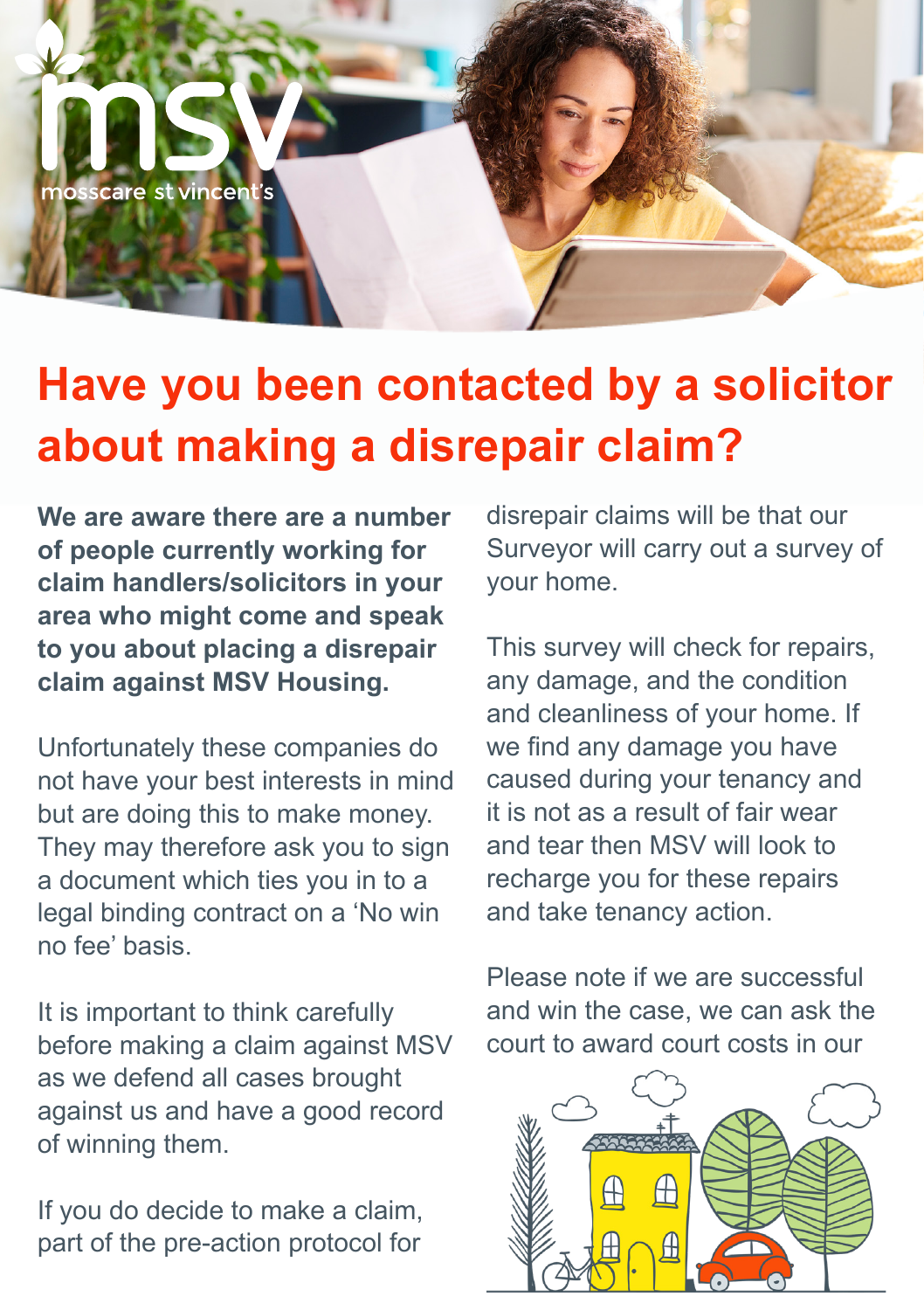

## **Have you been contacted by a solicitor about making a disrepair claim?**

**We are aware there are a number of people currently working for claim handlers/solicitors in your area who might come and speak to you about placing a disrepair claim against MSV Housing.**

Unfortunately these companies do not have your best interests in mind but are doing this to make money. They may therefore ask you to sign a document which ties you in to a legal binding contract on a 'No win no fee' basis.

It is important to think carefully before making a claim against MSV as we defend all cases brought against us and have a good record of winning them.

If you do decide to make a claim, part of the pre-action protocol for

disrepair claims will be that our Surveyor will carry out a survey of your home.

This survey will check for repairs, any damage, and the condition and cleanliness of your home. If we find any damage you have caused during your tenancy and it is not as a result of fair wear and tear then MSV will look to recharge you for these repairs and take tenancy action.

Please note if we are successful and win the case, we can ask the court to award court costs in our